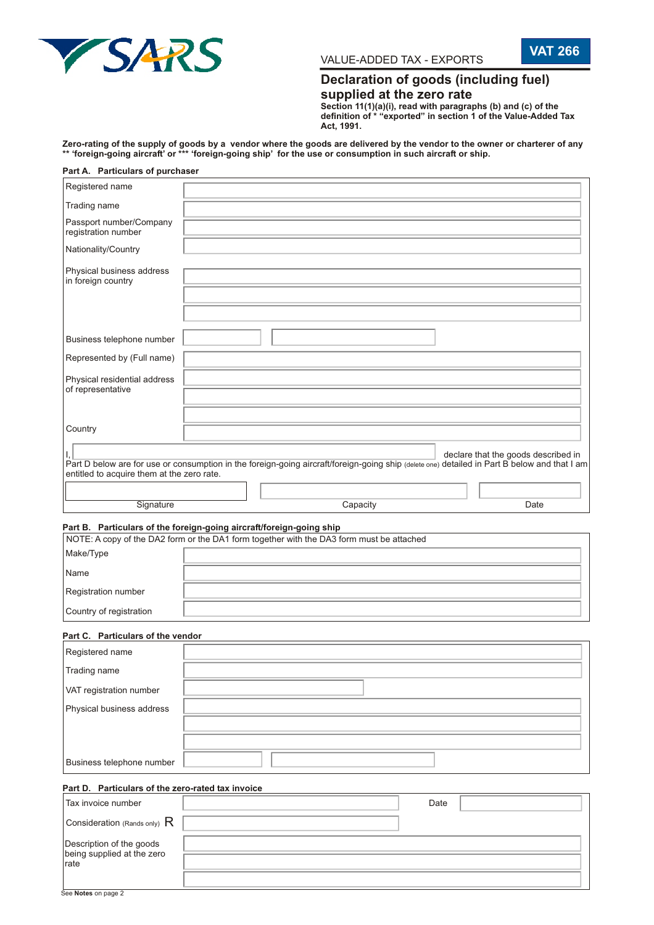

**VAT 266** VALUE-ADDED TAX - EXPORTS

# **Declaration of goods (including fuel) supplied at the zero rate**

**Section 11(1)(a)(i), read with paragraphs (b) and (c) of the definition of \* "exported" in section 1 of the Value-Added Tax Act, 1991.**

**Zero-rating of the supply of goods by a vendor where the goods are delivered by the vendor to the owner or charterer of any \*\* 'foreign-going aircraft' or \*\*\* 'foreign-going ship' for the use or consumption in such aircraft or ship.**

| Part A. Particulars of purchaser                                                                                                                                                           |  |          |  |      |                                     |
|--------------------------------------------------------------------------------------------------------------------------------------------------------------------------------------------|--|----------|--|------|-------------------------------------|
| Registered name                                                                                                                                                                            |  |          |  |      |                                     |
| Trading name                                                                                                                                                                               |  |          |  |      |                                     |
| Passport number/Company<br>registration number                                                                                                                                             |  |          |  |      |                                     |
| Nationality/Country                                                                                                                                                                        |  |          |  |      |                                     |
| Physical business address<br>in foreign country                                                                                                                                            |  |          |  |      |                                     |
|                                                                                                                                                                                            |  |          |  |      |                                     |
| Business telephone number                                                                                                                                                                  |  |          |  |      |                                     |
| Represented by (Full name)                                                                                                                                                                 |  |          |  |      |                                     |
| Physical residential address<br>of representative                                                                                                                                          |  |          |  |      |                                     |
|                                                                                                                                                                                            |  |          |  |      |                                     |
| Country                                                                                                                                                                                    |  |          |  |      |                                     |
| Part D below are for use or consumption in the foreign-going aircraft/foreign-going ship (delete one) detailed in Part B below and that I am<br>entitled to acquire them at the zero rate. |  |          |  |      | declare that the goods described in |
|                                                                                                                                                                                            |  |          |  |      |                                     |
| Signature                                                                                                                                                                                  |  | Capacity |  |      | Date                                |
| Part B. Particulars of the foreign-going aircraft/foreign-going ship<br>NOTE: A copy of the DA2 form or the DA1 form together with the DA3 form must be attached                           |  |          |  |      |                                     |
| Make/Type                                                                                                                                                                                  |  |          |  |      |                                     |
| Name                                                                                                                                                                                       |  |          |  |      |                                     |
| Registration number                                                                                                                                                                        |  |          |  |      |                                     |
| Country of registration                                                                                                                                                                    |  |          |  |      |                                     |
| Part C. Particulars of the vendor                                                                                                                                                          |  |          |  |      |                                     |
| Registered name                                                                                                                                                                            |  |          |  |      |                                     |
| Trading name                                                                                                                                                                               |  |          |  |      |                                     |
| VAT registration number                                                                                                                                                                    |  |          |  |      |                                     |
| Physical business address                                                                                                                                                                  |  |          |  |      |                                     |
|                                                                                                                                                                                            |  |          |  |      |                                     |
|                                                                                                                                                                                            |  |          |  |      |                                     |
| Business telephone number                                                                                                                                                                  |  |          |  |      |                                     |
| Part D. Particulars of the zero-rated tax invoice                                                                                                                                          |  |          |  |      |                                     |
| Tax invoice number                                                                                                                                                                         |  |          |  | Date |                                     |
| Consideration (Rands only) $R$                                                                                                                                                             |  |          |  |      |                                     |
| Description of the goods<br>being supplied at the zero                                                                                                                                     |  |          |  |      |                                     |

rate